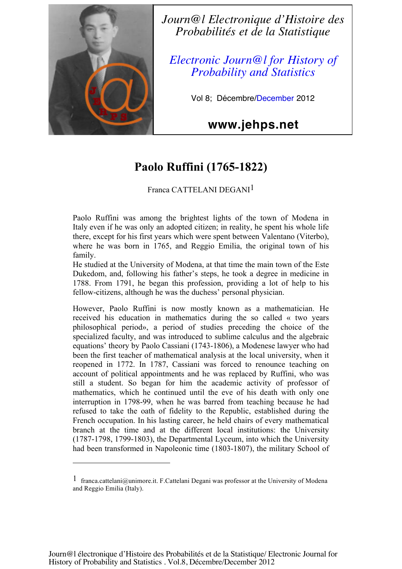

 $\overline{a}$ 

*Journ@l Electronique d'Histoire des Probabilités et de la Statistique*

*Electronic Journ@l for History of Probability and Statistics*

Vol 8; Décembre/December 2012

## **www.jehps.net**

# **Paolo Ruffini (1765-1822)**

## Franca CATTELANI DEGANI1

Paolo Ruffini was among the brightest lights of the town of Modena in Italy even if he was only an adopted citizen; in reality, he spent his whole life there, except for his first years which were spent between Valentano (Viterbo), where he was born in 1765, and Reggio Emilia, the original town of his family.

He studied at the University of Modena, at that time the main town of the Este Dukedom, and, following his father's steps, he took a degree in medicine in 1788. From 1791, he began this profession, providing a lot of help to his fellow-citizens, although he was the duchess' personal physician.

However, Paolo Ruffini is now mostly known as a mathematician. He received his education in mathematics during the so called « two years philosophical period», a period of studies preceding the choice of the specialized faculty, and was introduced to sublime calculus and the algebraic equations' theory by Paolo Cassiani (1743-1806), a Modenese lawyer who had been the first teacher of mathematical analysis at the local university, when it reopened in 1772. In 1787, Cassiani was forced to renounce teaching on account of political appointments and he was replaced by Ruffini, who was still a student. So began for him the academic activity of professor of mathematics, which he continued until the eve of his death with only one interruption in 1798-99, when he was barred from teaching because he had refused to take the oath of fidelity to the Republic, established during the French occupation. In his lasting career, he held chairs of every mathematical branch at the time and at the different local institutions: the University (1787-1798, 1799-1803), the Departmental Lyceum, into which the University had been transformed in Napoleonic time (1803-1807), the military School of

<sup>1</sup> franca.cattelani@unimore.it. F.Cattelani Degani was professor at the University of Modena and Reggio Emilia (Italy).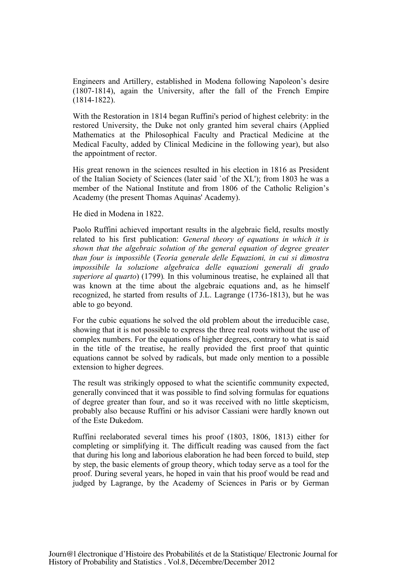Engineers and Artillery, established in Modena following Napoleon's desire (1807-1814), again the University, after the fall of the French Empire (1814-1822).

With the Restoration in 1814 began Ruffini's period of highest celebrity: in the restored University, the Duke not only granted him several chairs (Applied Mathematics at the Philosophical Faculty and Practical Medicine at the Medical Faculty, added by Clinical Medicine in the following year), but also the appointment of rector.

His great renown in the sciences resulted in his election in 1816 as President of the Italian Society of Sciences (later said `of the XL'); from 1803 he was a member of the National Institute and from 1806 of the Catholic Religion's Academy (the present Thomas Aquinas' Academy).

He died in Modena in 1822.

Paolo Ruffini achieved important results in the algebraic field, results mostly related to his first publication: *General theory of equations in which it is shown that the algebraic solution of the general equation of degree greater than four is impossible* (*Teoria generale delle Equazioni, in cui si dimostra impossibile la soluzione algebraica delle equazioni generali di grado superiore al quarto*) (1799)*.* In this voluminous treatise, he explained all that was known at the time about the algebraic equations and, as he himself recognized, he started from results of J.L. Lagrange (1736-1813), but he was able to go beyond.

For the cubic equations he solved the old problem about the irreducible case, showing that it is not possible to express the three real roots without the use of complex numbers. For the equations of higher degrees, contrary to what is said in the title of the treatise, he really provided the first proof that quintic equations cannot be solved by radicals, but made only mention to a possible extension to higher degrees.

The result was strikingly opposed to what the scientific community expected, generally convinced that it was possible to find solving formulas for equations of degree greater than four, and so it was received with no little skepticism, probably also because Ruffini or his advisor Cassiani were hardly known out of the Este Dukedom.

Ruffini reelaborated several times his proof (1803, 1806, 1813) either for completing or simplifying it. The difficult reading was caused from the fact that during his long and laborious elaboration he had been forced to build, step by step, the basic elements of group theory, which today serve as a tool for the proof. During several years, he hoped in vain that his proof would be read and judged by Lagrange, by the Academy of Sciences in Paris or by German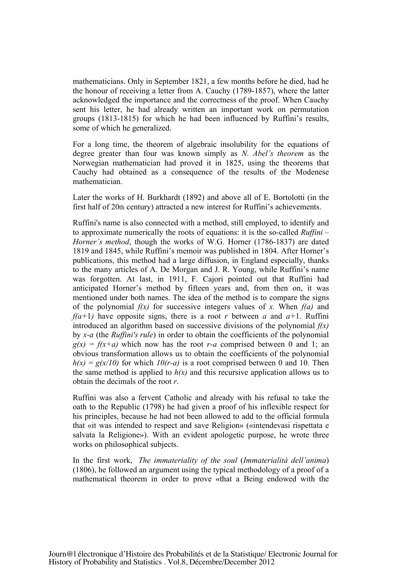mathematicians. Only in September 1821, a few months before he died, had he the honour of receiving a letter from A. Cauchy (1789-1857), where the latter acknowledged the importance and the correctness of the proof. When Cauchy sent his letter, he had already written an important work on permutation groups (1813-1815) for which he had been influenced by Ruffini's results, some of which he generalized.

For a long time, the theorem of algebraic insolubility for the equations of degree greater than four was known simply as *N. Abel's theorem* as the Norwegian mathematician had proved it in 1825, using the theorems that Cauchy had obtained as a consequence of the results of the Modenese mathematician.

Later the works of H. Burkhardt (1892) and above all of E. Bortolotti (in the first half of 20th century) attracted a new interest for Ruffini's achievements.

Ruffini's name is also connected with a method, still employed, to identify and to approximate numerically the roots of equations: it is the so-called *Ruffini – Horner's method*, though the works of W.G. Horner (1786-1837) are dated 1819 and 1845, while Ruffini's memoir was published in 1804. After Horner's publications, this method had a large diffusion, in England especially, thanks to the many articles of A. De Morgan and J. R. Young, while Ruffini's name was forgotten. At last, in 1911, F. Cajori pointed out that Ruffini had anticipated Horner's method by fifteen years and, from then on, it was mentioned under both names. The idea of the method is to compare the signs of the polynomial *f(x)* for successive integers values of *x.* When *f(a)* and *f(a+1)* have opposite signs, there is a root *r* between *a* and  $a+1$ . Ruffini introduced an algorithm based on successive divisions of the polynomial *f(x)* by *x-a* (the *Ruffini's rule*) in order to obtain the coefficients of the polynomial  $g(x) = f(x+a)$  which now has the root *r-a* comprised between 0 and 1; an obvious transformation allows us to obtain the coefficients of the polynomial  $h(x) = g(x/10)$  for which  $10(r-a)$  is a root comprised between 0 and 10. Then the same method is applied to  $h(x)$  and this recursive application allows us to obtain the decimals of the root *r*.

Ruffini was also a fervent Catholic and already with his refusal to take the oath to the Republic (1798) he had given a proof of his inflexible respect for his principles, because he had not been allowed to add to the official formula that «it was intended to respect and save Religion» («intendevasi rispettata e salvata la Religione»). With an evident apologetic purpose, he wrote three works on philosophical subjects.

In the first work, *The immateriality of the soul* (*Immaterialità dell'anima*) (1806), he followed an argument using the typical methodology of a proof of a mathematical theorem in order to prove «that a Being endowed with the

Journ@l électronique d'Histoire des Probabilités et de la Statistique/ Electronic Journal for History of Probability and Statistics . Vol.8, Décembre/December 2012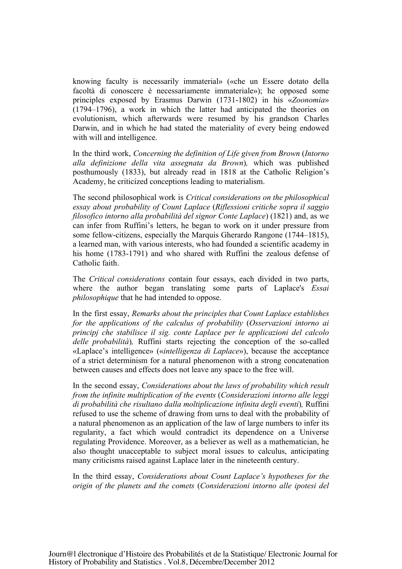knowing faculty is necessarily immaterial» («che un Essere dotato della facoltà di conoscere è necessariamente immateriale»); he opposed some principles exposed by Erasmus Darwin (1731-1802) in his «*Zoonomia*» (1794–1796), a work in which the latter had anticipated the theories on evolutionism, which afterwards were resumed by his grandson Charles Darwin, and in which he had stated the materiality of every being endowed with will and intelligence.

In the third work, *Concerning the definition of Life given from Brown* (*Intorno alla definizione della vita assegnata da Brown*)*,* which was published posthumously (1833), but already read in 1818 at the Catholic Religion's Academy, he criticized conceptions leading to materialism.

The second philosophical work is *Critical considerations on the philosophical essay about probability of Count Laplace* (*Riflessioni critiche sopra il saggio filosofico intorno alla probabilità del signor Conte Laplace*) (1821) and, as we can infer from Ruffini's letters, he began to work on it under pressure from some fellow-citizens, especially the Marquis Gherardo Rangone (1744–1815), a learned man, with various interests, who had founded a scientific academy in his home (1783-1791) and who shared with Ruffini the zealous defense of Catholic faith.

The *Critical considerations* contain four essays, each divided in two parts, where the author began translating some parts of Laplace's *Essai philosophique* that he had intended to oppose.

In the first essay, *Remarks about the principles that Count Laplace establishes for the applications of the calculus of probability* (*Osservazioni intorno ai principj che stabilisce il sig. conte Laplace per le applicazioni del calcolo delle probabilità*)*,* Ruffini starts rejecting the conception of the so-called «Laplace's intelligence» («*intelligenza di Laplace*»), because the acceptance of a strict determinism for a natural phenomenon with a strong concatenation between causes and effects does not leave any space to the free will.

In the second essay, *Considerations about the laws of probability which result from the infinite multiplication of the events* (*Considerazioni intorno alle leggi di probabilità che risultano dalla moltiplicazione infinita degli eventi*)*,* Ruffini refused to use the scheme of drawing from urns to deal with the probability of a natural phenomenon as an application of the law of large numbers to infer its regularity, a fact which would contradict its dependence on a Universe regulating Providence. Moreover, as a believer as well as a mathematician, he also thought unacceptable to subject moral issues to calculus, anticipating many criticisms raised against Laplace later in the nineteenth century.

In the third essay, *Considerations about Count Laplace's hypotheses for the origin of the planets and the comets* (*Considerazioni intorno alle ipotesi del*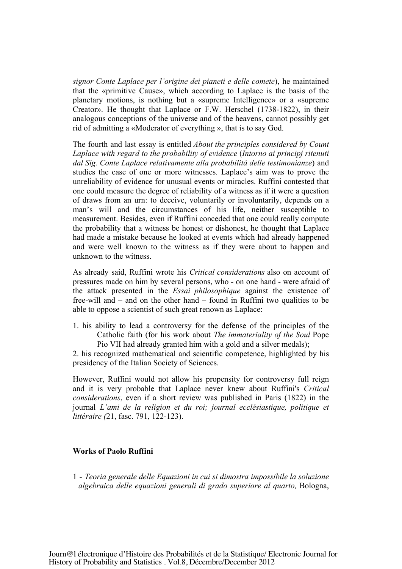*signor Conte Laplace per l'origine dei pianeti e delle comete*), he maintained that the «primitive Cause», which according to Laplace is the basis of the planetary motions, is nothing but a «supreme Intelligence» or a «supreme Creator». He thought that Laplace or F.W. Herschel (1738-1822), in their analogous conceptions of the universe and of the heavens, cannot possibly get rid of admitting a «Moderator of everything », that is to say God.

The fourth and last essay is entitled *About the principles considered by Count Laplace with regard to the probability of evidence* (*Intorno ai principj ritenuti dal Sig. Conte Laplace relativamente alla probabilità delle testimonianze*) and studies the case of one or more witnesses. Laplace's aim was to prove the unreliability of evidence for unusual events or miracles. Ruffini contested that one could measure the degree of reliability of a witness as if it were a question of draws from an urn: to deceive, voluntarily or involuntarily, depends on a man's will and the circumstances of his life, neither susceptible to measurement. Besides, even if Ruffini conceded that one could really compute the probability that a witness be honest or dishonest, he thought that Laplace had made a mistake because he looked at events which had already happened and were well known to the witness as if they were about to happen and unknown to the witness.

As already said, Ruffini wrote his *Critical considerations* also on account of pressures made on him by several persons, who - on one hand - were afraid of the attack presented in the *Essai philosophique* against the existence of free-will and – and on the other hand – found in Ruffini two qualities to be able to oppose a scientist of such great renown as Laplace:

1. his ability to lead a controversy for the defense of the principles of the Catholic faith (for his work about *The immateriality of the Soul* Pope Pio VII had already granted him with a gold and a silver medals);

2. his recognized mathematical and scientific competence, highlighted by his presidency of the Italian Society of Sciences.

However, Ruffini would not allow his propensity for controversy full reign and it is very probable that Laplace never knew about Ruffini's *Critical considerations*, even if a short review was published in Paris (1822) in the journal *L'ami de la religion et du roi; journal ecclésiastique, politique et littéraire (*21, fasc. 791, 122-123).

### **Works of Paolo Ruffini**

1 - *Teoria generale delle Equazioni in cui si dimostra impossibile la soluzione algebraica delle equazioni generali di grado superiore al quarto,* Bologna,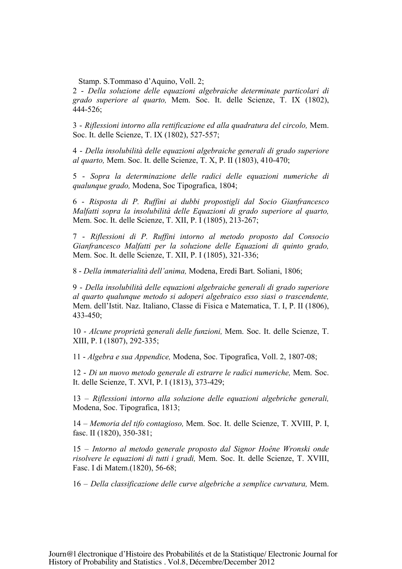Stamp. S.Tommaso d'Aquino, Voll. 2;

2 - *Della soluzione delle equazioni algebraiche determinate particolari di grado superiore al quarto,* Mem. Soc. It. delle Scienze, T. IX (1802), 444-526;

3 - *Riflessioni intorno alla rettificazione ed alla quadratura del circolo,* Mem. Soc. It. delle Scienze, T. IX (1802), 527-557;

4 - *Della insolubilità delle equazioni algebraiche generali di grado superiore al quarto,* Mem. Soc. It. delle Scienze, T. X, P. II (1803), 410-470;

5 - *Sopra la determinazione delle radici delle equazioni numeriche di qualunque grado,* Modena, Soc Tipografica, 1804;

6 - *Risposta di P. Ruffini ai dubbi propostigli dal Socio Gianfrancesco Malfatti sopra la insolubilità delle Equazioni di grado superiore al quarto,*  Mem. Soc. It. delle Scienze, T. XII, P. I (1805), 213-267;

7 - *Riflessioni di P. Ruffini intorno al metodo proposto dal Consocio Gianfrancesco Malfatti per la soluzione delle Equazioni di quinto grado,*  Mem. Soc. It. delle Scienze, T. XII, P. I (1805), 321-336;

8 - *Della immaterialità dell'anima,* Modena, Eredi Bart. Soliani, 1806;

9 - *Della insolubilità delle equazioni algebraiche generali di grado superiore al quarto qualunque metodo si adoperi algebraico esso siasi o trascendente,*  Mem. dell'Istit. Naz. Italiano, Classe di Fisica e Matematica, T. I, P. II (1806), 433-450;

10 - *Alcune proprietà generali delle funzioni,* Mem. Soc. It. delle Scienze, T. XIII, P. I (1807), 292-335;

11 - *Algebra e sua Appendice,* Modena, Soc. Tipografica, Voll. 2, 1807-08;

12 - *Di un nuovo metodo generale di estrarre le radici numeriche,* Mem. Soc. It. delle Scienze, T. XVI, P. I (1813), 373-429;

13 – *Riflessioni intorno alla soluzione delle equazioni algebriche generali,*  Modena, Soc. Tipografica, 1813;

14 – *Memoria del tifo contagioso,* Mem. Soc. It. delle Scienze, T. XVIII, P. I, fasc. II (1820), 350-381;

15 – *Intorno al metodo generale proposto dal Signor Hoêne Wronski onde risolvere le equazioni di tutti i gradi,* Mem. Soc. It. delle Scienze, T. XVIII, Fasc. I di Matem.(1820), 56-68;

16 – *Della classificazione delle curve algebriche a semplice curvatura,* Mem.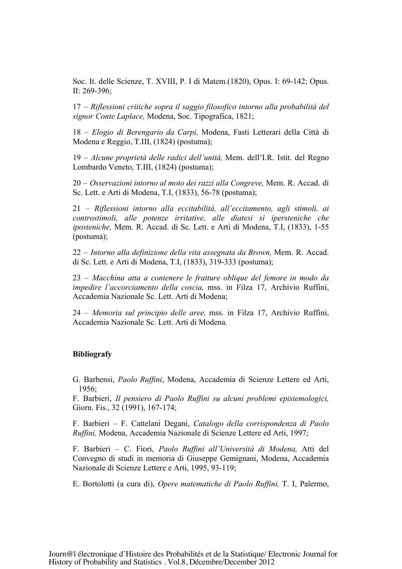Soc. It. delle Scienze, T. XVIII, P. I di Matem.(1820), Opus. I: 69-142; Opus. II: 269-396;

17 – *Riflessioni critiche sopra il saggio filosofico intorno alla probabilità del signor Conte Laplace,* Modena, Soc. Tipografica, 1821;

18 – *Elogio di Berengario da Carpi,* Modena, Fasti Letterari della Città di Modena e Reggio, T.III, (1824) (postuma);

19 – *Alcune proprietà delle radici dell'unità,* Mem. dell'I.R. Istit. del Regno Lombardo Veneto, T.III, (1824) (postuma);

20 – *Osservazioni intorno al moto dei razzi alla Congreve,* Mem. R. Accad. di Sc. Lett. e Arti di Modena, T.I, (1833), 56-78 (postuma);

21 – *Riflessioni intorno alla eccitabilità, all'eccitamento, agli stimoli, ai controstimoli, alle potenze irritative, alle diatesi sì ipersteniche che iposteniche,* Mem. R. Accad. di Sc. Lett. e Arti di Modena, T.I, (1833), 1-55 (postuma);

22 – *Intorno alla definizione della vita assegnata da Brown,* Mem. R. Accad. di Sc. Lett. e Arti di Modena, T.I, (1833), 319-333 (postuma);

23 – *Macchina atta a contenere le fratture oblique del femore in modo da impedire l'accorciamento della coscia,* mss. in Filza 17, Archivio Ruffini, Accademia Nazionale Sc. Lett. Arti di Modena;

24 – *Memoria sul principio delle aree,* mss. in Filza 17, Archivio Ruffini, Accademia Nazionale Sc. Lett. Arti di Modena.

#### **Bibliografy**

G. Barbensi, *Paolo Ruffini*, Modena, Accademia di Scienze Lettere ed Arti, 1956;

F. Barbieri, *Il pensiero di Paolo Ruffini su alcuni problemi epistemologici,*  Giorn. Fis., 32 (1991), 167-174;

F. Barbieri – F. Cattelani Degani, *Catalogo della corrispondenza di Paolo Ruffini,* Modena, Accademia Nazionale di Scienze Lettere ed Arti, 1997;

F. Barbieri – C. Fiori, *Paolo Ruffini all'Università di Modena,* Atti del Convegno di studi in memoria di Giuseppe Gemignani, Modena, Accademia Nazionale di Scienze Lettere e Arti, 1995, 93-119;

E. Bortolotti (a cura di), *Opere matematiche di Paolo Ruffini,* T. I, Palermo,